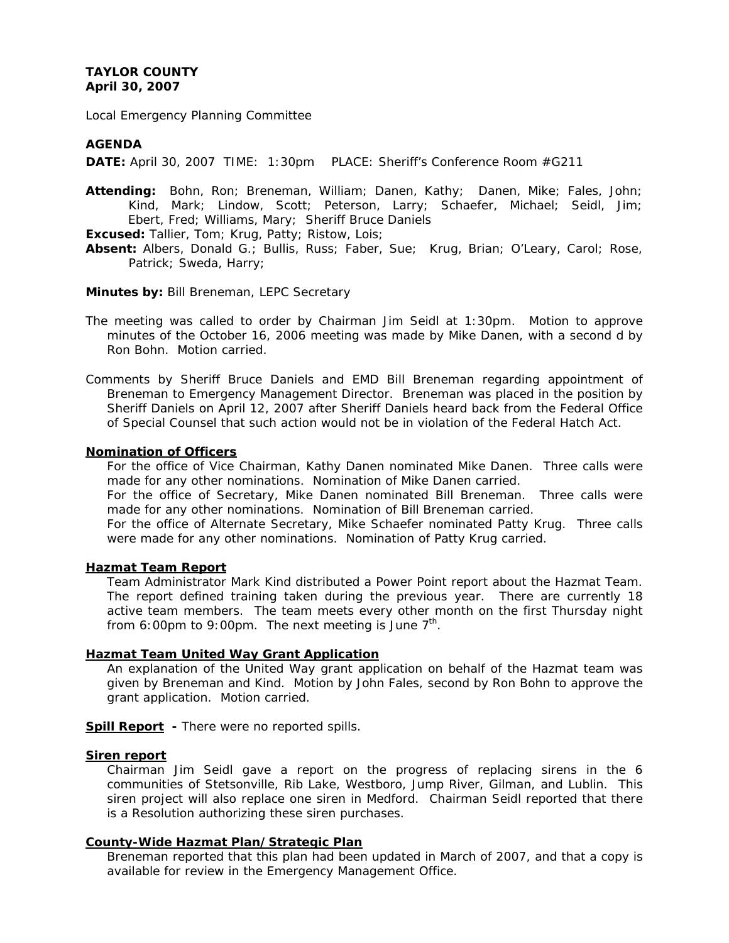# **TAYLOR COUNTY April 30, 2007**

Local Emergency Planning Committee

## **AGENDA**

**DATE:** April 30, 2007 TIME: 1:30pm PLACE: Sheriff's Conference Room #G211

**Attending:** Bohn, Ron; Breneman, William; Danen, Kathy; Danen, Mike; Fales, John; Kind, Mark; Lindow, Scott; Peterson, Larry; Schaefer, Michael; Seidl, Jim; Ebert, Fred; Williams, Mary; Sheriff Bruce Daniels

**Excused:** Tallier, Tom; Krug, Patty; Ristow, Lois;

**Absent:** Albers, Donald G.; Bullis, Russ; Faber, Sue; Krug, Brian; O'Leary, Carol; Rose, Patrick; Sweda, Harry;

### **Minutes by:** Bill Breneman, LEPC Secretary

The meeting was called to order by Chairman Jim Seidl at 1:30pm. Motion to approve minutes of the October 16, 2006 meeting was made by Mike Danen, with a second d by Ron Bohn. Motion carried.

Comments by Sheriff Bruce Daniels and EMD Bill Breneman regarding appointment of Breneman to Emergency Management Director. Breneman was placed in the position by Sheriff Daniels on April 12, 2007 after Sheriff Daniels heard back from the Federal Office of Special Counsel that such action would not be in violation of the Federal Hatch Act.

### **Nomination of Officers**

For the office of Vice Chairman, Kathy Danen nominated Mike Danen. Three calls were made for any other nominations. Nomination of Mike Danen carried.

 For the office of Secretary, Mike Danen nominated Bill Breneman. Three calls were made for any other nominations. Nomination of Bill Breneman carried.

 For the office of Alternate Secretary, Mike Schaefer nominated Patty Krug. Three calls were made for any other nominations. Nomination of Patty Krug carried.

### **Hazmat Team Report**

Team Administrator Mark Kind distributed a Power Point report about the Hazmat Team. The report defined training taken during the previous year. There are currently 18 active team members. The team meets every other month on the first Thursday night from 6:00pm to 9:00pm. The next meeting is June  $7<sup>th</sup>$ .

### **Hazmat Team United Way Grant Application**

An explanation of the United Way grant application on behalf of the Hazmat team was given by Breneman and Kind. Motion by John Fales, second by Ron Bohn to approve the grant application. Motion carried.

**Spill Report** - There were no reported spills.

#### **Siren report**

Chairman Jim Seidl gave a report on the progress of replacing sirens in the 6 communities of Stetsonville, Rib Lake, Westboro, Jump River, Gilman, and Lublin. This siren project will also replace one siren in Medford. Chairman Seidl reported that there is a Resolution authorizing these siren purchases.

#### **County-Wide Hazmat Plan/Strategic Plan**

Breneman reported that this plan had been updated in March of 2007, and that a copy is available for review in the Emergency Management Office.